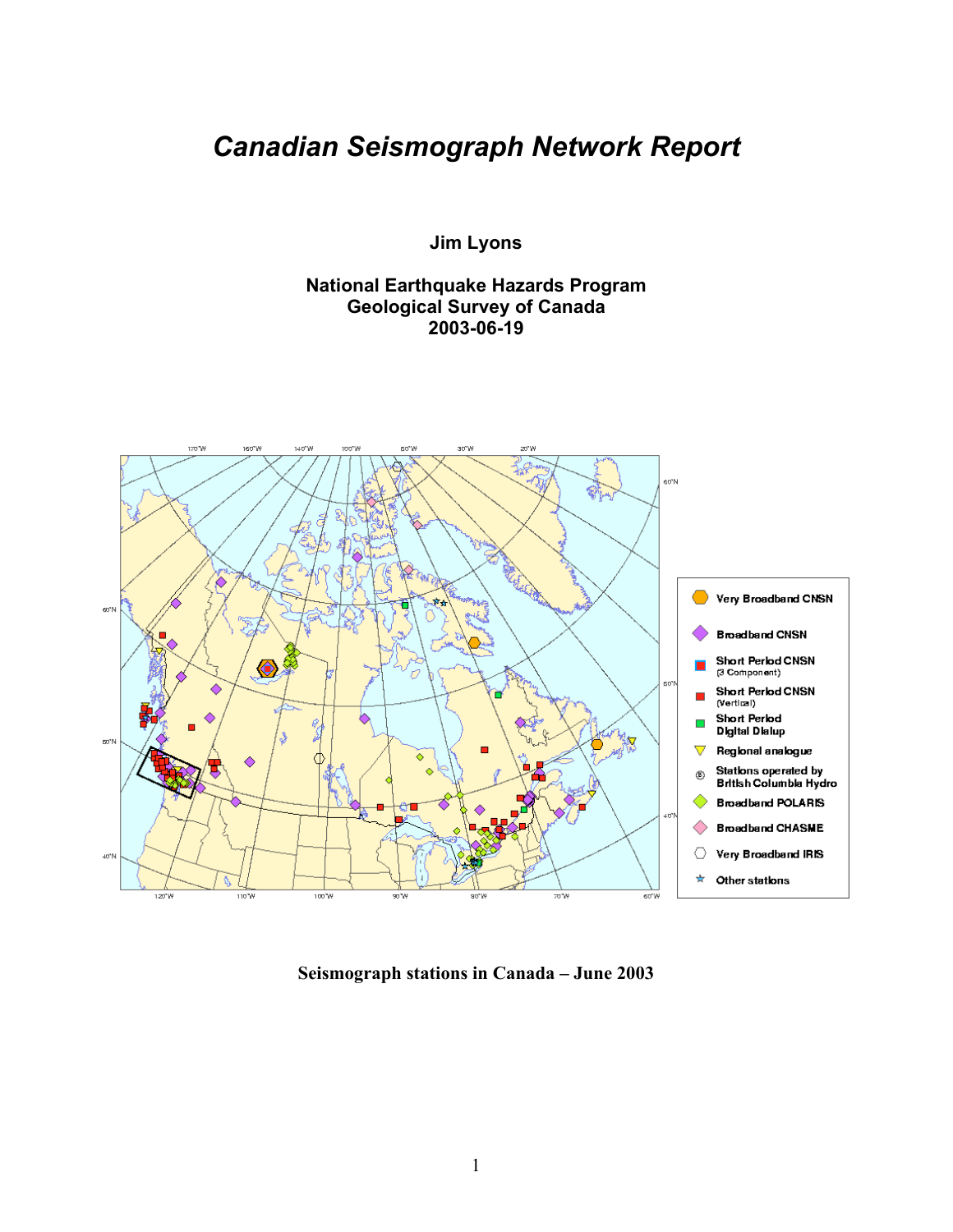# *Canadian Seismograph Network Report*

**Jim Lyons**

**National Earthquake Hazards Program Geological Survey of Canada 2003-06-19**



**Seismograph stations in Canada – June 2003**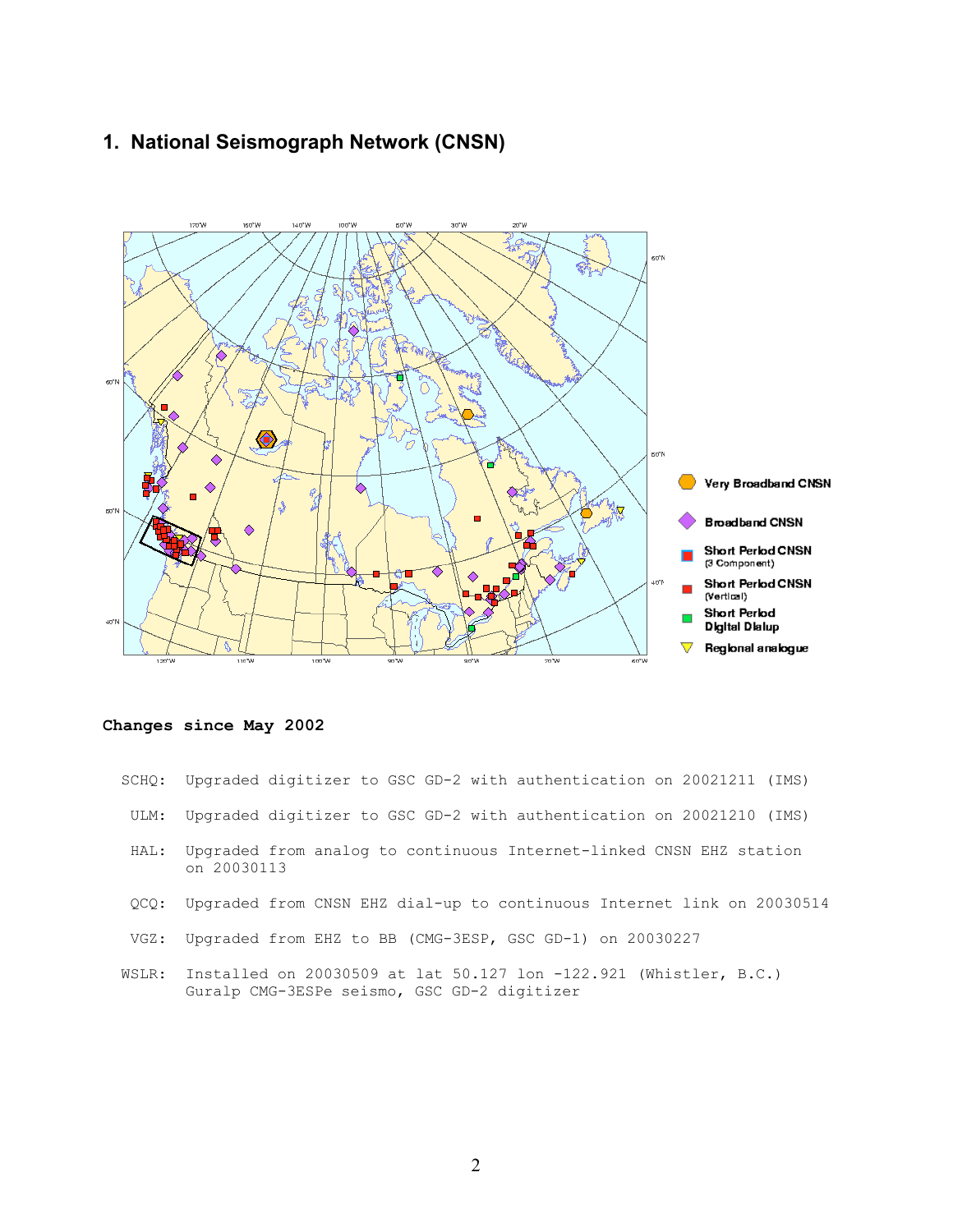# **1. National Seismograph Network (CNSN)**



## **Changes since May 2002**

|       | SCHQ: Upgraded digitizer to GSC GD-2 with authentication on 20021211 (IMS)                                         |
|-------|--------------------------------------------------------------------------------------------------------------------|
| ULM:  | Upgraded digitizer to GSC GD-2 with authentication on 20021210 (IMS)                                               |
| HAL:  | Upgraded from analog to continuous Internet-linked CNSN EHZ station<br>on 20030113                                 |
| OCO:  | Upgraded from CNSN EHZ dial-up to continuous Internet link on 20030514                                             |
| VGZ:  | Upgraded from EHZ to BB (CMG-3ESP, GSC GD-1) on 20030227                                                           |
| WSLR: | Installed on 20030509 at lat 50.127 lon $-122.921$ (Whistler, B.C.)<br>Guralp CMG-3ESPe seismo, GSC GD-2 digitizer |

2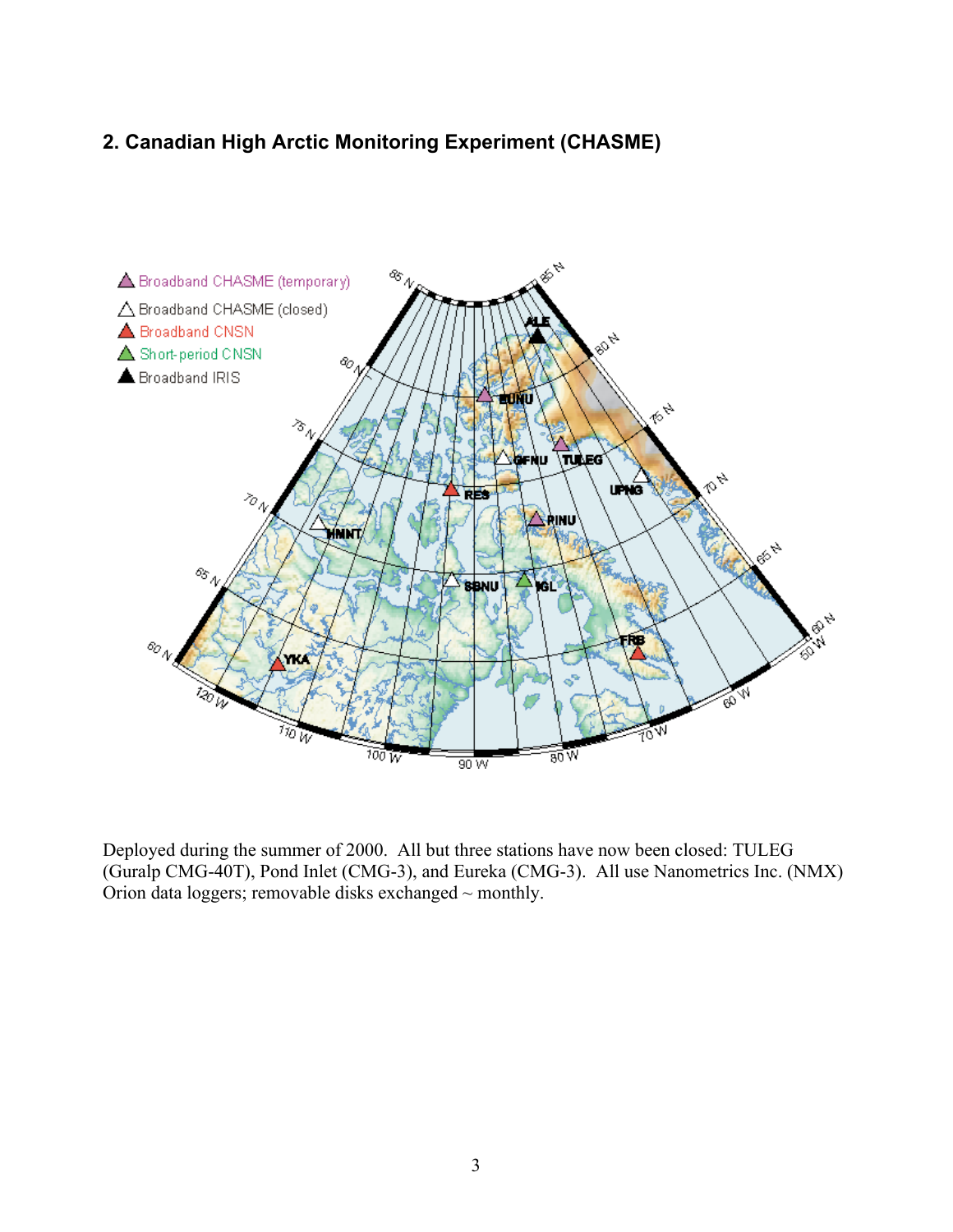# **2. Canadian High Arctic Monitoring Experiment (CHASME)**



Deployed during the summer of 2000. All but three stations have now been closed: TULEG (Guralp CMG-40T), Pond Inlet (CMG-3), and Eureka (CMG-3). All use Nanometrics Inc. (NMX) Orion data loggers; removable disks exchanged ~ monthly.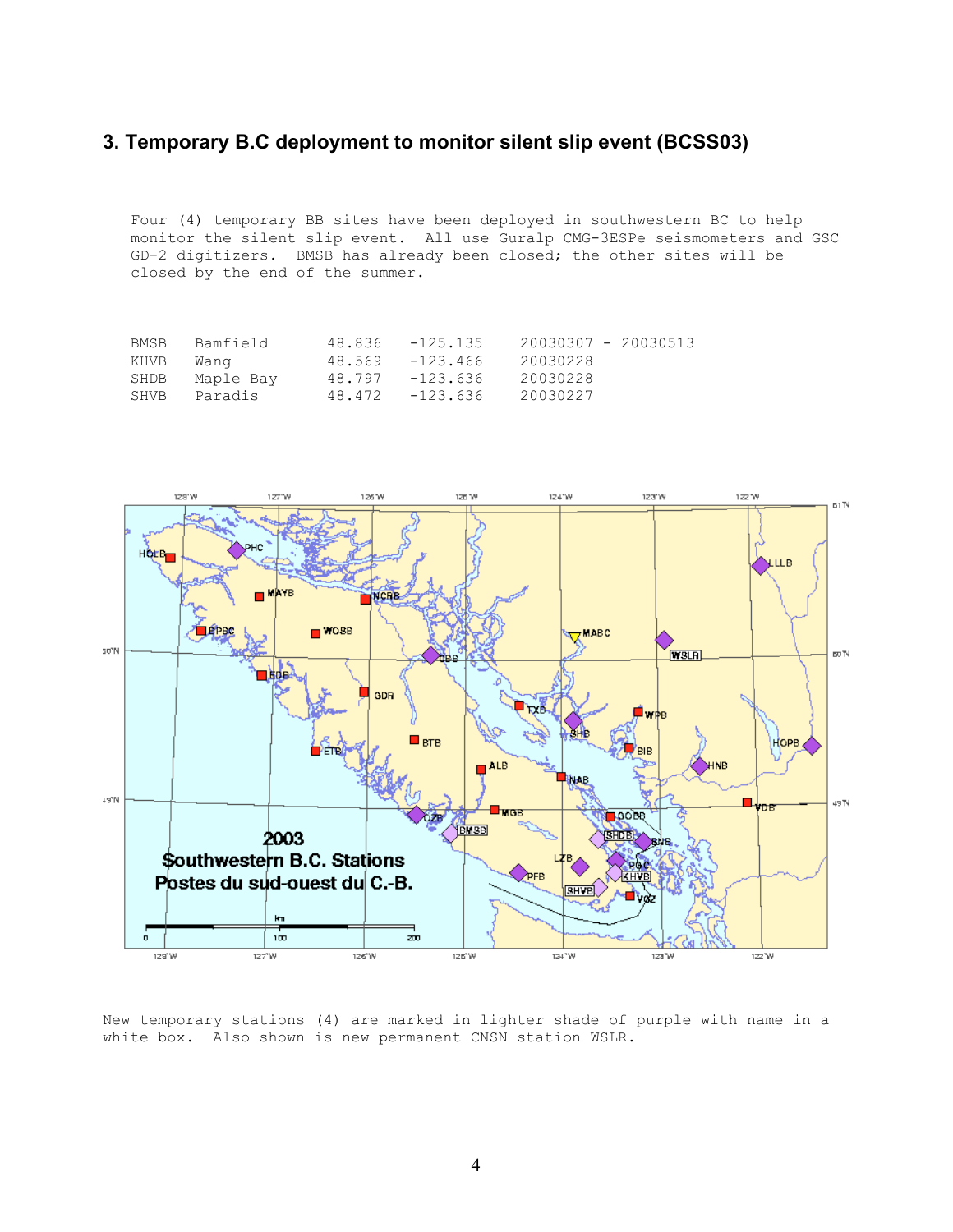# **3. Temporary B.C deployment to monitor silent slip event (BCSS03)**

Four (4) temporary BB sites have been deployed in southwestern BC to help monitor the silent slip event. All use Guralp CMG-3ESPe seismometers and GSC GD-2 digitizers. BMSB has already been closed; the other sites will be closed by the end of the summer.

| Bamfield<br>BMSB. | 48.836 | -125.135           | 20030307 - 20030513 |  |
|-------------------|--------|--------------------|---------------------|--|
| KHVB<br>Wanq      |        | $48.569 - 123.466$ | 20030228            |  |
| Maple Bay<br>SHDB |        | 48.797 -123.636    | 20030228            |  |
| Paradis<br>SHVB   |        | $48.472 - 123.636$ | 20030227            |  |



New temporary stations (4) are marked in lighter shade of purple with name in a white box. Also shown is new permanent CNSN station WSLR.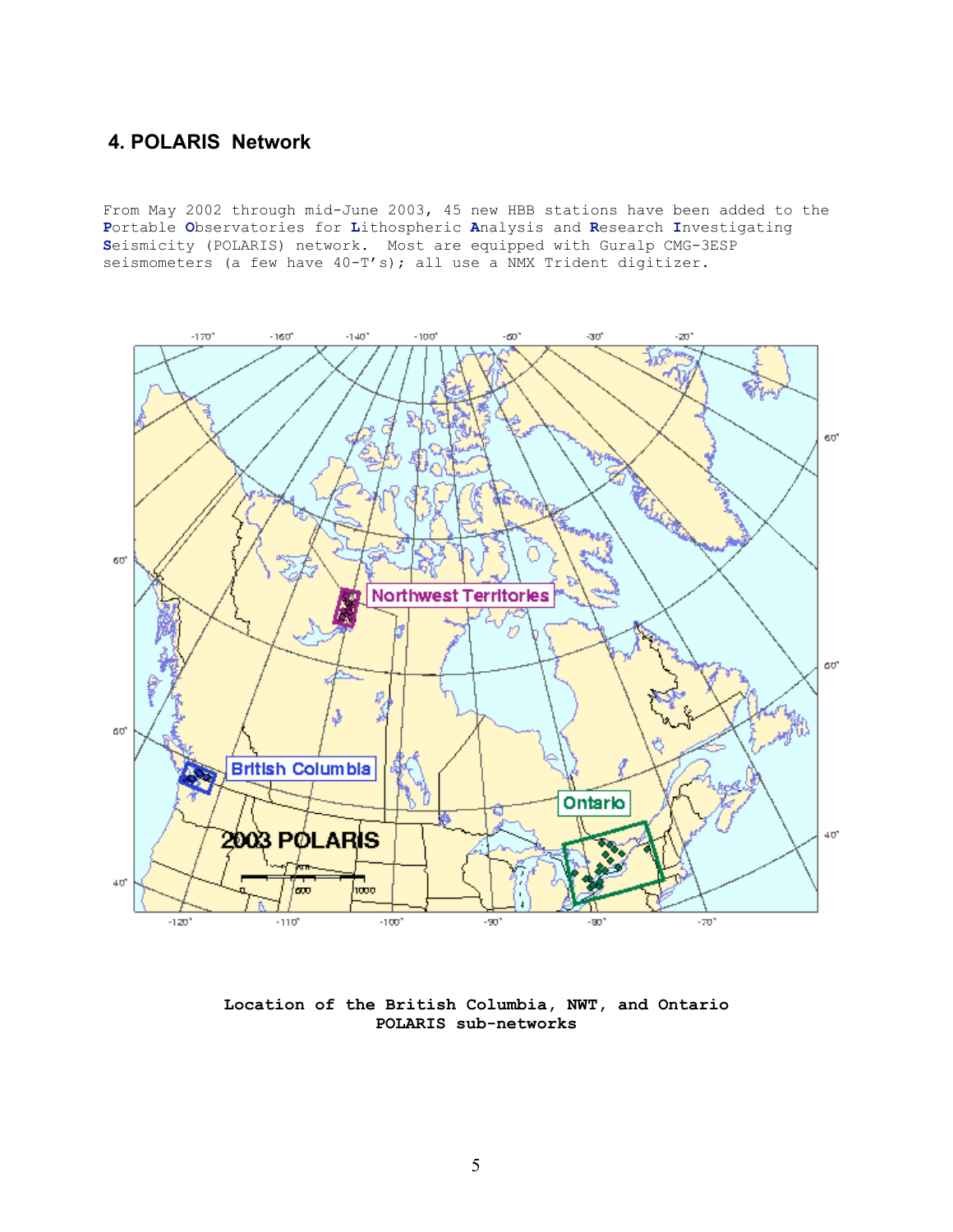# **4. POLARIS Network**

From May 2002 through mid-June 2003, 45 new HBB stations have been added to the **P**ortable **O**bservatories for **L**ithospheric **A**nalysis and **R**esearch **I**nvestigating **S**eismicity (POLARIS) network. Most are equipped with Guralp CMG-3ESP seismometers (a few have  $40-T's$ ); all use a NMX Trident digitizer.



**Location of the British Columbia, NWT, and Ontario POLARIS sub-networks**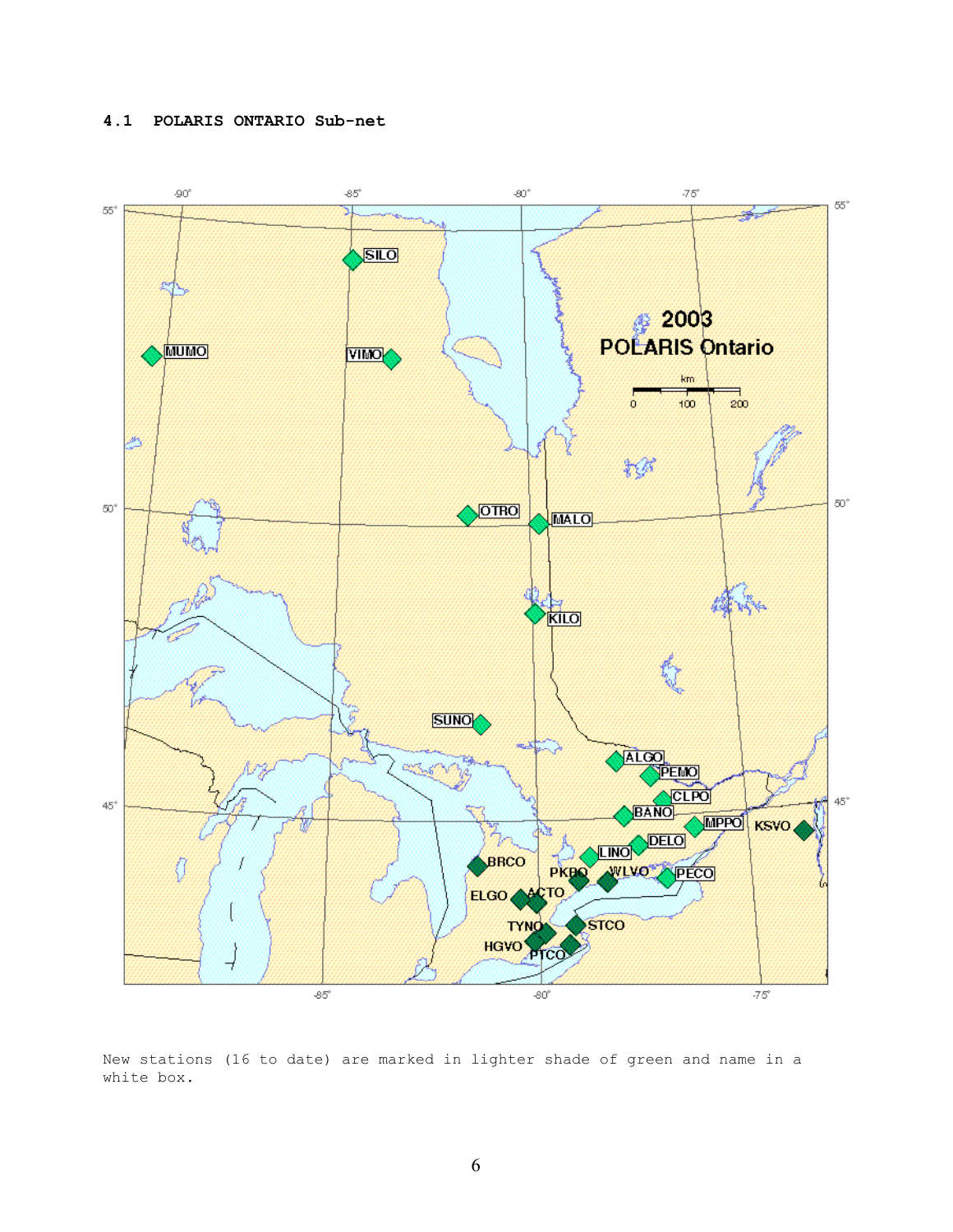## **4.1 POLARIS ONTARIO Sub-net**



New stations (16 to date) are marked in lighter shade of green and name in a white box.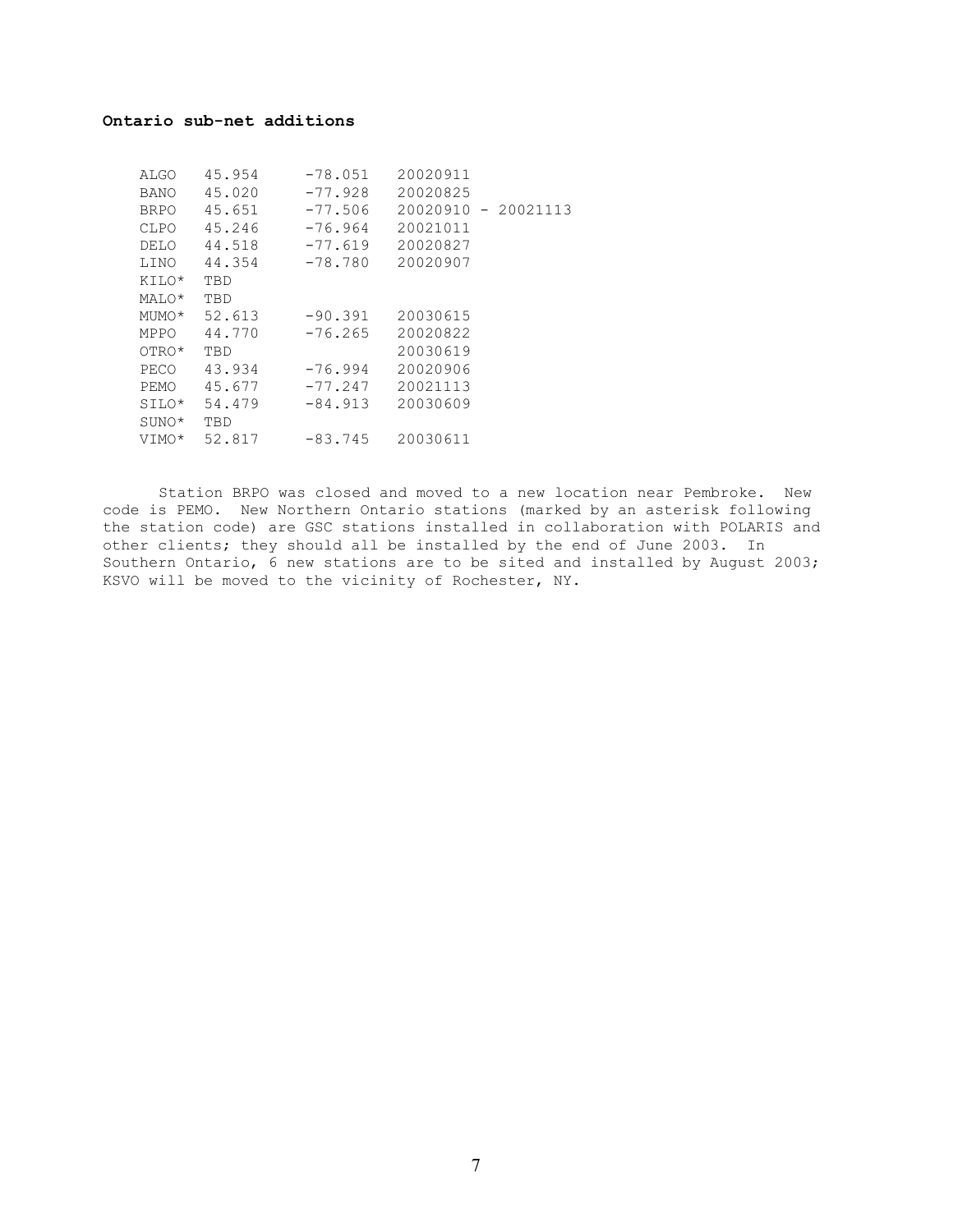### **Ontario sub-net additions**

| ALGO        | 45.954 | $-78.051$ | 20020911 |                     |
|-------------|--------|-----------|----------|---------------------|
| <b>BANO</b> | 45.020 | $-77.928$ | 20020825 |                     |
| <b>BRPO</b> | 45.651 | $-77.506$ |          | 20020910 - 20021113 |
| CLPO        | 45.246 | $-76.964$ | 20021011 |                     |
| DELO        | 44.518 | $-77.619$ | 20020827 |                     |
| LINO        | 44.354 | $-78.780$ | 20020907 |                     |
| KILO*       | TBD    |           |          |                     |
| MALO*       | TBD    |           |          |                     |
| MUMO*       | 52.613 | $-90.391$ | 20030615 |                     |
| MPPO        | 44.770 | $-76.265$ | 20020822 |                     |
| OTRO*       | TBD    |           | 20030619 |                     |
| PECO        | 43.934 | $-76.994$ | 20020906 |                     |
| PEMO        | 45.677 | $-77.247$ | 20021113 |                     |
| SILO*       | 54.479 | $-84.913$ | 20030609 |                     |
| SUNO*       | TBD    |           |          |                     |
| VIMO*       | 52.817 | $-83.745$ | 20030611 |                     |
|             |        |           |          |                     |

Station BRPO was closed and moved to a new location near Pembroke. New code is PEMO. New Northern Ontario stations (marked by an asterisk following the station code) are GSC stations installed in collaboration with POLARIS and other clients; they should all be installed by the end of June 2003. In Southern Ontario, 6 new stations are to be sited and installed by August 2003; KSVO will be moved to the vicinity of Rochester, NY.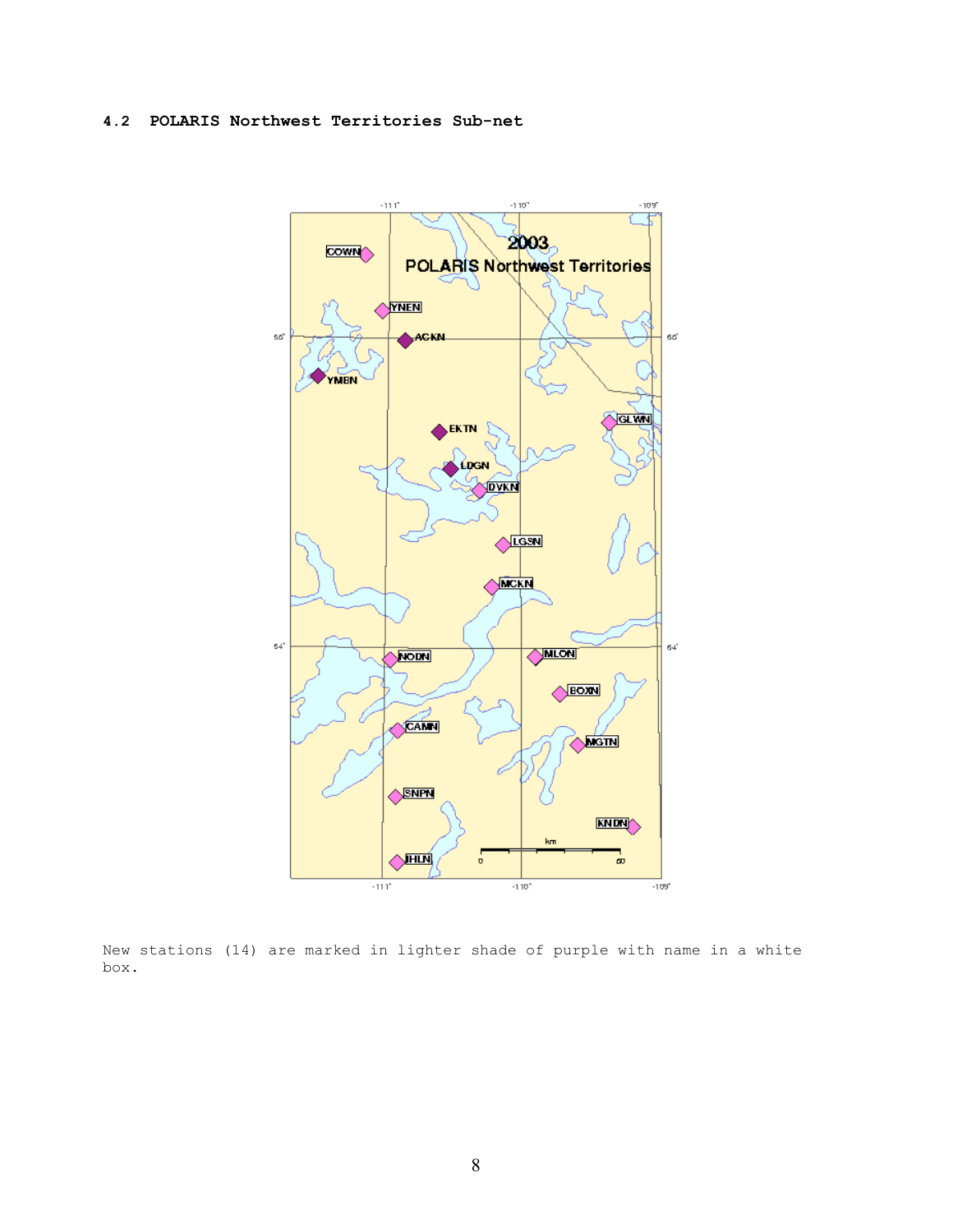## **4.2 POLARIS Northwest Territories Sub-net**



New stations (14) are marked in lighter shade of purple with name in a white box.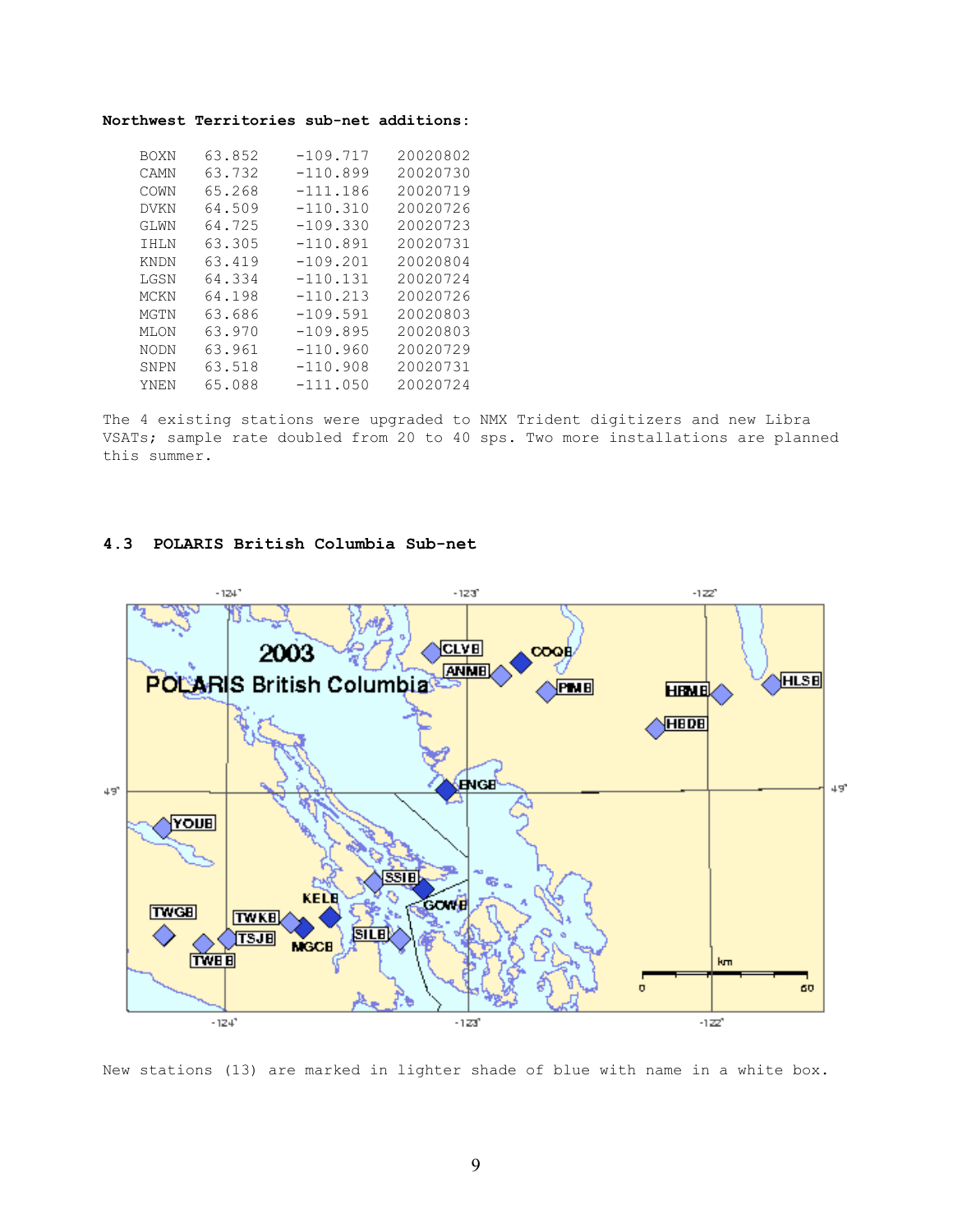#### **Northwest Territories sub-net additions:**

| <b>BOXN</b> | 63.852 | $-109.717$ | 20020802 |
|-------------|--------|------------|----------|
| CAMN        | 63.732 | $-110.899$ | 20020730 |
| COWN        | 65.268 | $-111.186$ | 20020719 |
| <b>DVKN</b> | 64.509 | $-110.310$ | 20020726 |
| GLWN        | 64.725 | $-109.330$ | 20020723 |
| IHLN        | 63.305 | $-110.891$ | 20020731 |
| <b>KNDN</b> | 63.419 | $-109.201$ | 20020804 |
| LGSN        | 64.334 | $-110.131$ | 20020724 |
| <b>MCKN</b> | 64.198 | $-110.213$ | 20020726 |
| MGTN        | 63.686 | $-109.591$ | 20020803 |
| MLON        | 63.970 | $-109.895$ | 20020803 |
| <b>NODN</b> | 63.961 | $-110.960$ | 20020729 |
| SNPN        | 63.518 | $-110.908$ | 20020731 |
| YNEN        | 65.088 | $-111.050$ | 20020724 |

The 4 existing stations were upgraded to NMX Trident digitizers and new Libra VSATs; sample rate doubled from 20 to 40 sps. Two more installations are planned this summer.

#### **4.3 POLARIS British Columbia Sub-net**



New stations (13) are marked in lighter shade of blue with name in a white box.